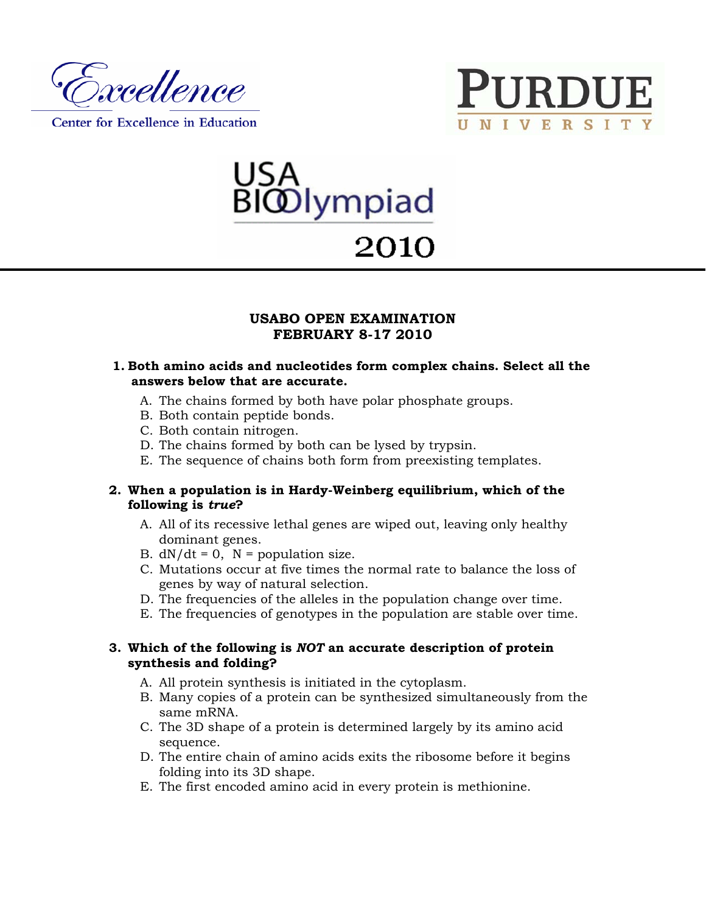

Center for Excellence in Education





# 2010

# **USABO OPEN EXAMINATION FEBRUARY 8-17 2010**

#### **1. Both amino acids and nucleotides form complex chains. Select all the answers below that are accurate.**

- A. The chains formed by both have polar phosphate groups.
- B. Both contain peptide bonds.
- C. Both contain nitrogen.
- D. The chains formed by both can be lysed by trypsin.
- E. The sequence of chains both form from preexisting templates.

#### **2. When a population is in Hardy-Weinberg equilibrium, which of the following is** *true***?**

- A. All of its recessive lethal genes are wiped out, leaving only healthy dominant genes.
- B.  $dN/dt = 0$ ,  $N =$  population size.
- C. Mutations occur at five times the normal rate to balance the loss of genes by way of natural selection.
- D. The frequencies of the alleles in the population change over time.
- E. The frequencies of genotypes in the population are stable over time.

#### **3. Which of the following is** *NOT* **an accurate description of protein synthesis and folding?**

- A. All protein synthesis is initiated in the cytoplasm.
- B. Many copies of a protein can be synthesized simultaneously from the same mRNA.
- C. The 3D shape of a protein is determined largely by its amino acid sequence.
- D. The entire chain of amino acids exits the ribosome before it begins folding into its 3D shape.
- E. The first encoded amino acid in every protein is methionine.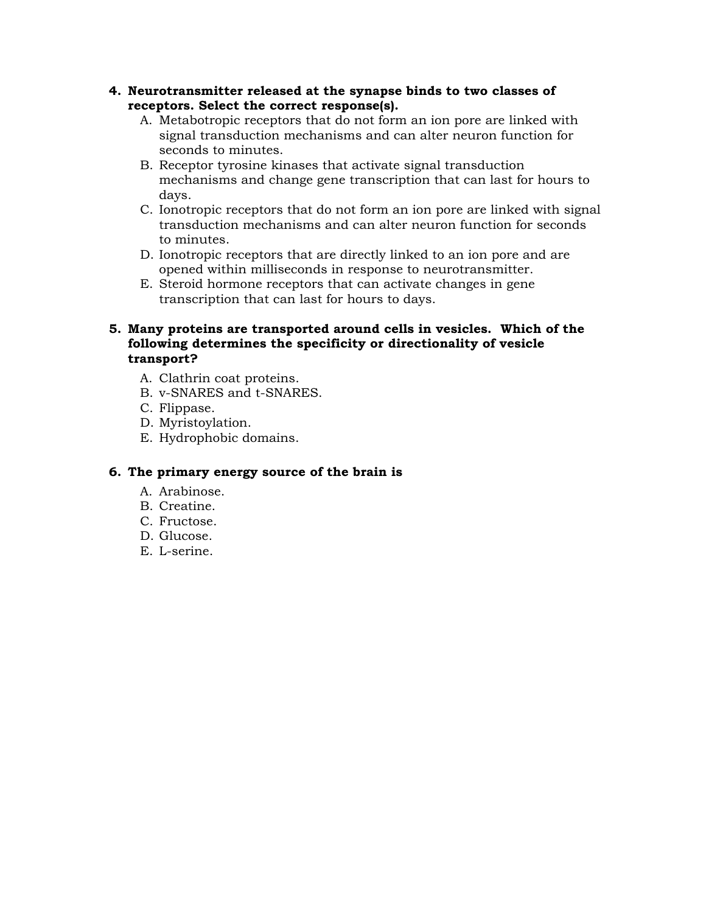- **4. Neurotransmitter released at the synapse binds to two classes of receptors. Select the correct response(s).** 
	- A. Metabotropic receptors that do not form an ion pore are linked with signal transduction mechanisms and can alter neuron function for seconds to minutes.
	- B. Receptor tyrosine kinases that activate signal transduction mechanisms and change gene transcription that can last for hours to days.
	- C. Ionotropic receptors that do not form an ion pore are linked with signal transduction mechanisms and can alter neuron function for seconds to minutes.
	- D. Ionotropic receptors that are directly linked to an ion pore and are opened within milliseconds in response to neurotransmitter.
	- E. Steroid hormone receptors that can activate changes in gene transcription that can last for hours to days.

## **5. Many proteins are transported around cells in vesicles. Which of the following determines the specificity or directionality of vesicle transport?**

- A. Clathrin coat proteins.
- B. v-SNARES and t-SNARES.
- C. Flippase.
- D. Myristoylation.
- E. Hydrophobic domains.

#### **6. The primary energy source of the brain is**

- A. Arabinose.
- B. Creatine.
- C. Fructose.
- D. Glucose.
- E. L-serine.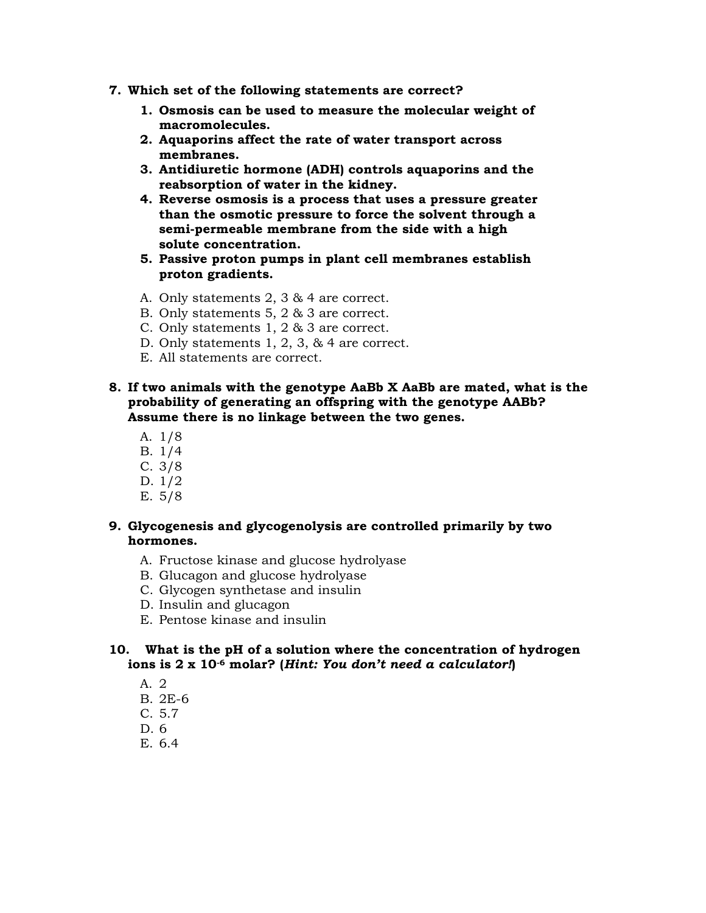- **7. Which set of the following statements are correct?** 
	- **1. Osmosis can be used to measure the molecular weight of macromolecules.**
	- **2. Aquaporins affect the rate of water transport across membranes.**
	- **3. Antidiuretic hormone (ADH) controls aquaporins and the reabsorption of water in the kidney.**
	- **4. Reverse osmosis is a process that uses a pressure greater than the osmotic pressure to force the solvent through a semi-permeable membrane from the side with a high solute concentration.**
	- **5. Passive proton pumps in plant cell membranes establish proton gradients.**
	- A. Only statements 2, 3 & 4 are correct.
	- B. Only statements 5, 2 & 3 are correct.
	- C. Only statements 1, 2 & 3 are correct.
	- D. Only statements 1, 2, 3, & 4 are correct.
	- E. All statements are correct.
- **8. If two animals with the genotype AaBb X AaBb are mated, what is the probability of generating an offspring with the genotype AABb? Assume there is no linkage between the two genes.** 
	- A. 1/8
	- B. 1/4
	- C. 3/8
	- D. 1/2
	- E. 5/8

### **9. Glycogenesis and glycogenolysis are controlled primarily by two hormones.**

- A. Fructose kinase and glucose hydrolyase
- B. Glucagon and glucose hydrolyase
- C. Glycogen synthetase and insulin
- D. Insulin and glucagon
- E. Pentose kinase and insulin

#### **10. What is the pH of a solution where the concentration of hydrogen ions is 2 x 10-6 molar? (***Hint: You don't need a calculator!***)**

- A. 2
- B. 2E-6
- C. 5.7
- D. 6
- E. 6.4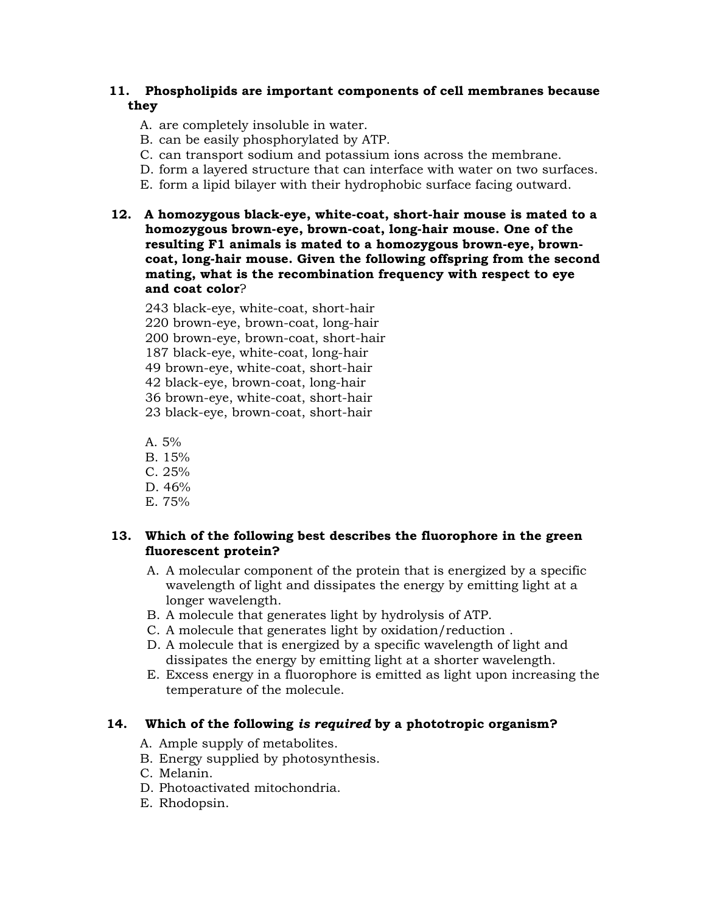## **11. Phospholipids are important components of cell membranes because they**

- A. are completely insoluble in water.
- B. can be easily phosphorylated by ATP.
- C. can transport sodium and potassium ions across the membrane.
- D. form a layered structure that can interface with water on two surfaces.
- E. form a lipid bilayer with their hydrophobic surface facing outward.
- **12. A homozygous black-eye, white-coat, short-hair mouse is mated to a homozygous brown-eye, brown-coat, long-hair mouse. One of the resulting F1 animals is mated to a homozygous brown-eye, browncoat, long-hair mouse. Given the following offspring from the second mating, what is the recombination frequency with respect to eye and coat color**?
	- 243 black-eye, white-coat, short-hair
	- 220 brown-eye, brown-coat, long-hair
	- 200 brown-eye, brown-coat, short-hair
	- 187 black-eye, white-coat, long-hair

49 brown-eye, white-coat, short-hair

42 black-eye, brown-coat, long-hair

36 brown-eye, white-coat, short-hair

23 black-eye, brown-coat, short-hair

A.  $5\%$ 

- B. 15%
- C. 25%
- D. 46%
- E. 75%

## **13. Which of the following best describes the fluorophore in the green fluorescent protein?**

- A. A molecular component of the protein that is energized by a specific wavelength of light and dissipates the energy by emitting light at a longer wavelength.
- B. A molecule that generates light by hydrolysis of ATP.
- C. A molecule that generates light by oxidation/reduction .
- D. A molecule that is energized by a specific wavelength of light and dissipates the energy by emitting light at a shorter wavelength.
- E. Excess energy in a fluorophore is emitted as light upon increasing the temperature of the molecule.

## **14. Which of the following** *is required* **by a phototropic organism?**

- A. Ample supply of metabolites.
- B. Energy supplied by photosynthesis.
- C. Melanin.
- D. Photoactivated mitochondria.
- E. Rhodopsin.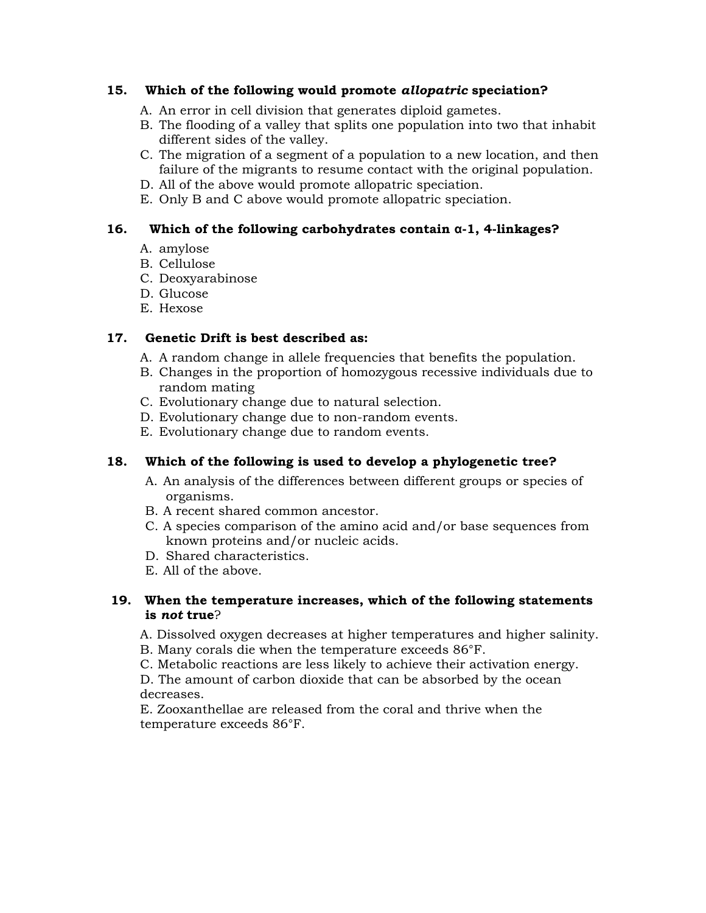## **15. Which of the following would promote** *allopatric* **speciation?**

- A. An error in cell division that generates diploid gametes.
- B. The flooding of a valley that splits one population into two that inhabit different sides of the valley.
- C. The migration of a segment of a population to a new location, and then failure of the migrants to resume contact with the original population.
- D. All of the above would promote allopatric speciation.
- E. Only B and C above would promote allopatric speciation.

## **16. Which of the following carbohydrates contain α-1, 4-linkages?**

- A. amylose
- B. Cellulose
- C. Deoxyarabinose
- D. Glucose
- E. Hexose

# **17. Genetic Drift is best described as:**

- A. A random change in allele frequencies that benefits the population.
- B. Changes in the proportion of homozygous recessive individuals due to random mating
- C. Evolutionary change due to natural selection.
- D. Evolutionary change due to non-random events.
- E. Evolutionary change due to random events.

## **18. Which of the following is used to develop a phylogenetic tree?**

- A. An analysis of the differences between different groups or species of organisms.
- B. A recent shared common ancestor.
- C. A species comparison of the amino acid and/or base sequences from known proteins and/or nucleic acids.
- D. Shared characteristics.
- E. All of the above.

## **19. When the temperature increases, which of the following statements is** *not* **true**?

A. Dissolved oxygen decreases at higher temperatures and higher salinity.

B. Many corals die when the temperature exceeds 86°F.

C. Metabolic reactions are less likely to achieve their activation energy.

D. The amount of carbon dioxide that can be absorbed by the ocean decreases.

E. Zooxanthellae are released from the coral and thrive when the temperature exceeds 86°F.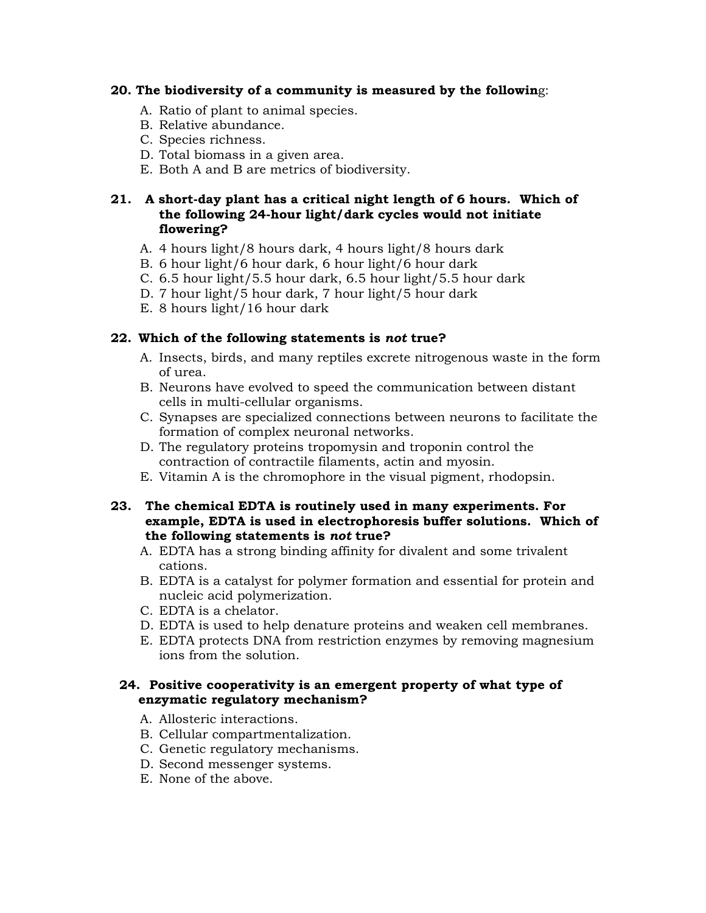#### **20. The biodiversity of a community is measured by the followin**g:

- A. Ratio of plant to animal species.
- B. Relative abundance.
- C. Species richness.
- D. Total biomass in a given area.
- E. Both A and B are metrics of biodiversity.

#### **21. A short-day plant has a critical night length of 6 hours. Which of the following 24-hour light/dark cycles would not initiate flowering?**

- A. 4 hours light/8 hours dark, 4 hours light/8 hours dark
- B. 6 hour light/6 hour dark, 6 hour light/6 hour dark
- C. 6.5 hour light/5.5 hour dark, 6.5 hour light/5.5 hour dark
- D. 7 hour light/5 hour dark, 7 hour light/5 hour dark
- E. 8 hours light/16 hour dark

#### **22. Which of the following statements is** *not* **true?**

- A. Insects, birds, and many reptiles excrete nitrogenous waste in the form of urea.
- B. Neurons have evolved to speed the communication between distant cells in multi-cellular organisms.
- C. Synapses are specialized connections between neurons to facilitate the formation of complex neuronal networks.
- D. The regulatory proteins tropomysin and troponin control the contraction of contractile filaments, actin and myosin.
- E. Vitamin A is the chromophore in the visual pigment, rhodopsin.

#### **23. The chemical EDTA is routinely used in many experiments. For example, EDTA is used in electrophoresis buffer solutions. Which of the following statements is** *not* **true?**

- A. EDTA has a strong binding affinity for divalent and some trivalent cations.
- B. EDTA is a catalyst for polymer formation and essential for protein and nucleic acid polymerization.
- C. EDTA is a chelator.
- D. EDTA is used to help denature proteins and weaken cell membranes.
- E. EDTA protects DNA from restriction enzymes by removing magnesium ions from the solution.

#### **24. Positive cooperativity is an emergent property of what type of enzymatic regulatory mechanism?**

- A. Allosteric interactions.
- B. Cellular compartmentalization.
- C. Genetic regulatory mechanisms.
- D. Second messenger systems.
- E. None of the above.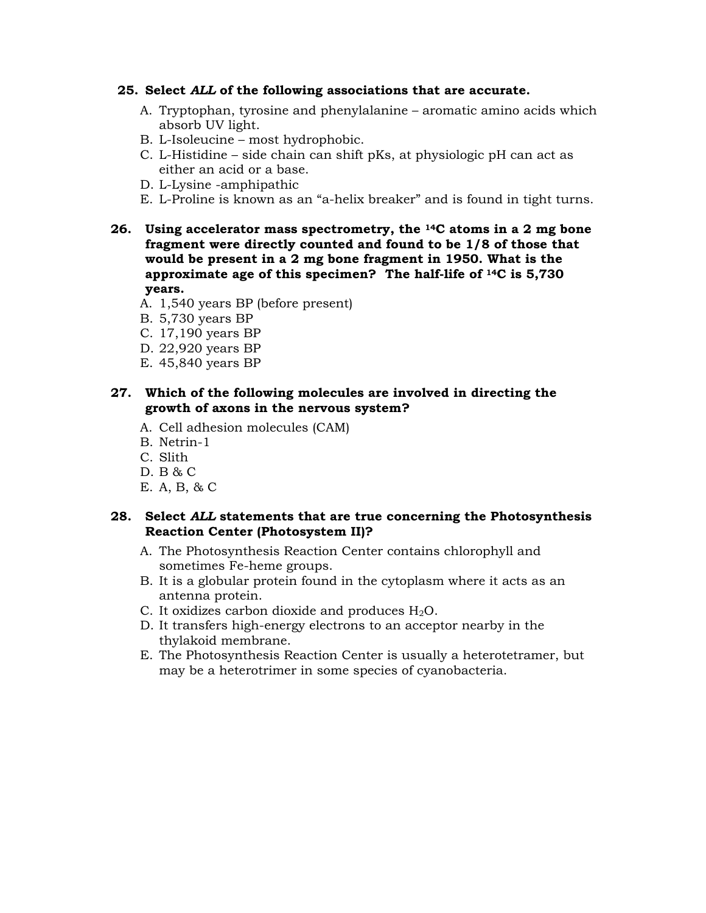#### **25. Select** *ALL* **of the following associations that are accurate.**

- A. Tryptophan, tyrosine and phenylalanine aromatic amino acids which absorb UV light.
- B. L-Isoleucine most hydrophobic.
- C. L-Histidine side chain can shift pKs, at physiologic pH can act as either an acid or a base.
- D. L-Lysine -amphipathic
- E. L-Proline is known as an "a-helix breaker" and is found in tight turns.
- **26. Using accelerator mass spectrometry, the 14C atoms in a 2 mg bone fragment were directly counted and found to be 1/8 of those that would be present in a 2 mg bone fragment in 1950. What is the approximate age of this specimen? The half-life of 14C is 5,730 years.** 
	- A. 1,540 years BP (before present)
	- B. 5,730 years BP
	- C. 17,190 years BP
	- D. 22,920 years BP
	- E. 45,840 years BP

#### **27. Which of the following molecules are involved in directing the growth of axons in the nervous system?**

- A. Cell adhesion molecules (CAM)
- B. Netrin-1
- C. Slith
- D. B & C
- E. A, B, & C

#### **28. Select** *ALL* **statements that are true concerning the Photosynthesis Reaction Center (Photosystem II)?**

- A. The Photosynthesis Reaction Center contains chlorophyll and sometimes Fe-heme groups.
- B. It is a globular protein found in the cytoplasm where it acts as an antenna protein.
- C. It oxidizes carbon dioxide and produces  $H_2O$ .
- D. It transfers high-energy electrons to an acceptor nearby in the thylakoid membrane.
- E. The Photosynthesis Reaction Center is usually a heterotetramer, but may be a heterotrimer in some species of cyanobacteria.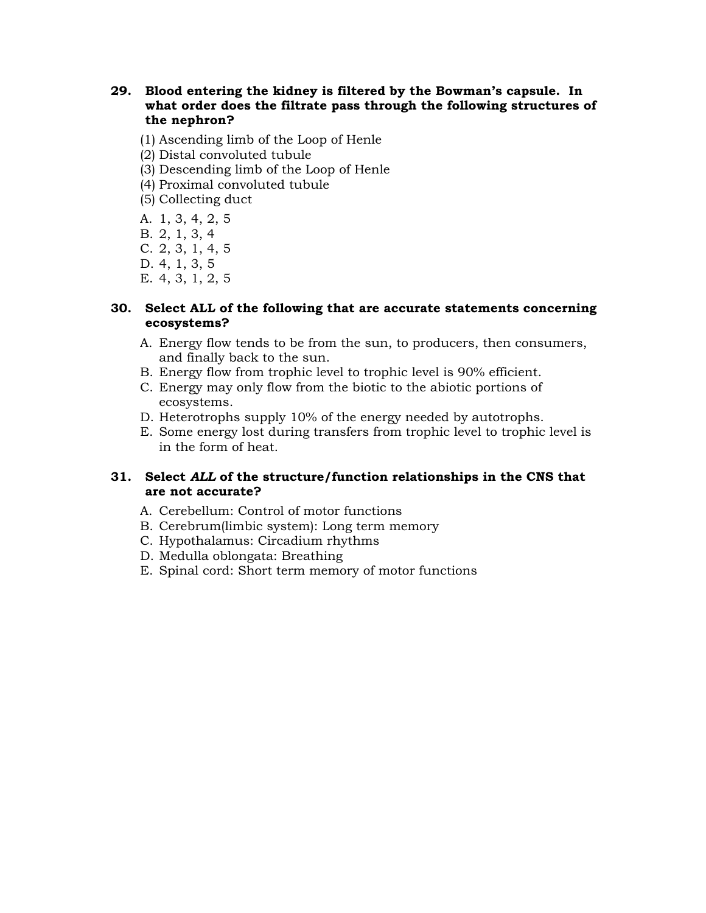- **29. Blood entering the kidney is filtered by the Bowman's capsule. In what order does the filtrate pass through the following structures of the nephron?** 
	- (1) Ascending limb of the Loop of Henle
	- (2) Distal convoluted tubule
	- (3) Descending limb of the Loop of Henle
	- (4) Proximal convoluted tubule
	- (5) Collecting duct
	- A. 1, 3, 4, 2, 5
	- B. 2, 1, 3, 4
	- C. 2, 3, 1, 4, 5
	- D. 4, 1, 3, 5
	- E. 4, 3, 1, 2, 5

#### **30. Select ALL of the following that are accurate statements concerning ecosystems?**

- A. Energy flow tends to be from the sun, to producers, then consumers, and finally back to the sun.
- B. Energy flow from trophic level to trophic level is 90% efficient.
- C. Energy may only flow from the biotic to the abiotic portions of ecosystems.
- D. Heterotrophs supply 10% of the energy needed by autotrophs.
- E. Some energy lost during transfers from trophic level to trophic level is in the form of heat.

#### **31. Select** *ALL* **of the structure/function relationships in the CNS that are not accurate?**

- A. Cerebellum: Control of motor functions
- B. Cerebrum(limbic system): Long term memory
- C. Hypothalamus: Circadium rhythms
- D. Medulla oblongata: Breathing
- E. Spinal cord: Short term memory of motor functions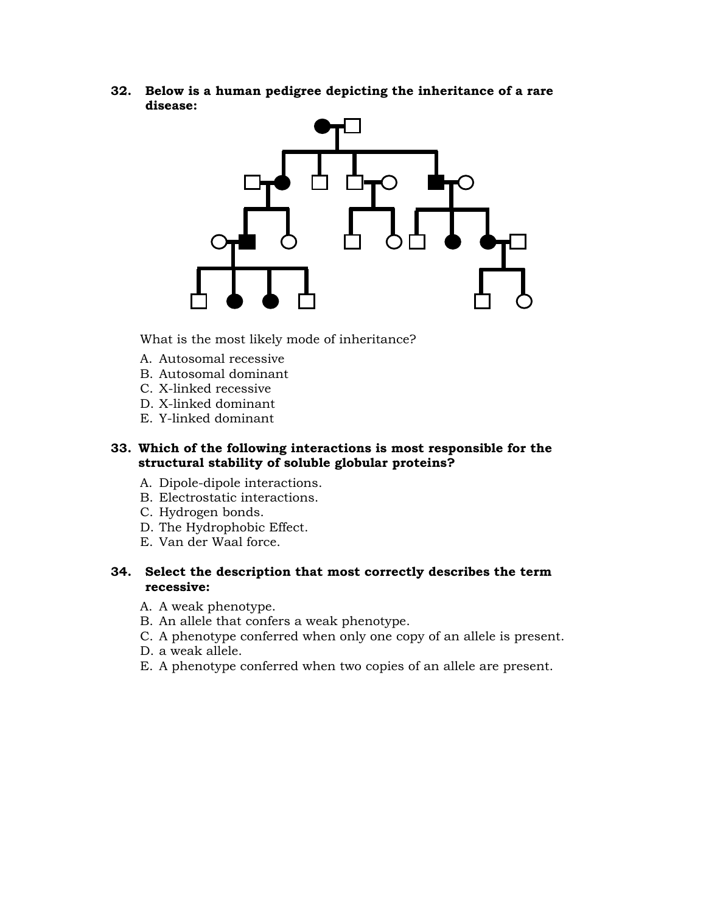**32. Below is a human pedigree depicting the inheritance of a rare disease:** 



What is the most likely mode of inheritance?

- A. Autosomal recessive
- B. Autosomal dominant
- C. X-linked recessive
- D. X-linked dominant
- E. Y-linked dominant

#### **33. Which of the following interactions is most responsible for the structural stability of soluble globular proteins?**

- A. Dipole-dipole interactions.
- B. Electrostatic interactions.
- C. Hydrogen bonds.
- D. The Hydrophobic Effect.
- E. Van der Waal force.

#### **34. Select the description that most correctly describes the term recessive:**

- A. A weak phenotype.
- B. An allele that confers a weak phenotype.
- C. A phenotype conferred when only one copy of an allele is present.
- D. a weak allele.
- E. A phenotype conferred when two copies of an allele are present.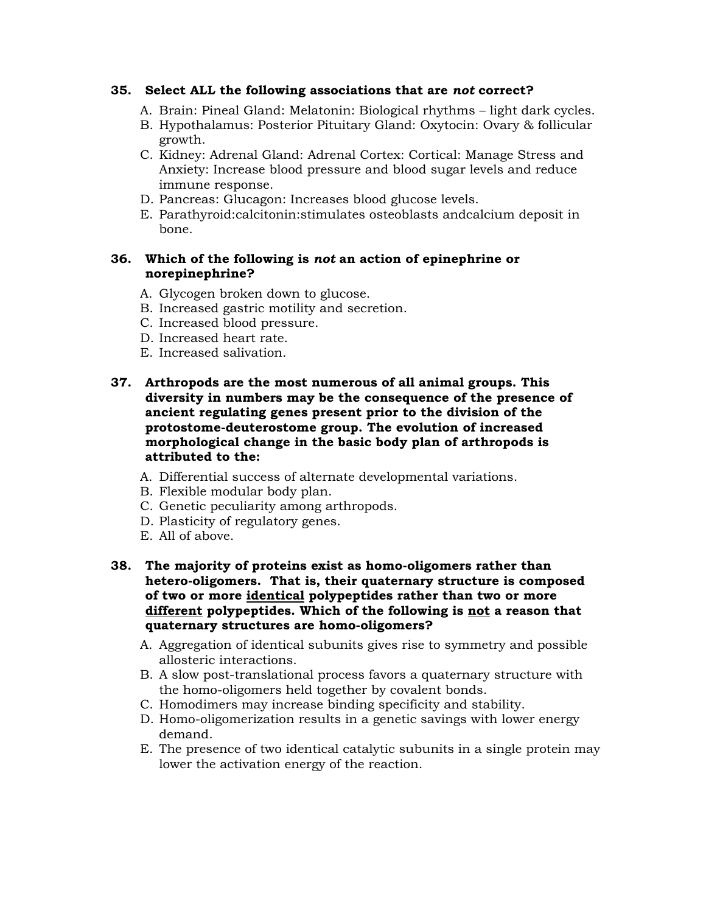#### **35. Select ALL the following associations that are** *not* **correct?**

- A. Brain: Pineal Gland: Melatonin: Biological rhythms light dark cycles.
- B. Hypothalamus: Posterior Pituitary Gland: Oxytocin: Ovary & follicular growth.
- C. Kidney: Adrenal Gland: Adrenal Cortex: Cortical: Manage Stress and Anxiety: Increase blood pressure and blood sugar levels and reduce immune response.
- D. Pancreas: Glucagon: Increases blood glucose levels.
- E. Parathyroid:calcitonin:stimulates osteoblasts andcalcium deposit in bone.

#### **36. Which of the following is** *not* **an action of epinephrine or norepinephrine?**

- A. Glycogen broken down to glucose.
- B. Increased gastric motility and secretion.
- C. Increased blood pressure.
- D. Increased heart rate.
- E. Increased salivation.
- **37. Arthropods are the most numerous of all animal groups. This diversity in numbers may be the consequence of the presence of ancient regulating genes present prior to the division of the protostome-deuterostome group. The evolution of increased morphological change in the basic body plan of arthropods is attributed to the:** 
	- A. Differential success of alternate developmental variations.
	- B. Flexible modular body plan.
	- C. Genetic peculiarity among arthropods.
	- D. Plasticity of regulatory genes.
	- E. All of above.
- **38. The majority of proteins exist as homo-oligomers rather than hetero-oligomers. That is, their quaternary structure is composed of two or more identical polypeptides rather than two or more different polypeptides. Which of the following is not a reason that quaternary structures are homo-oligomers?** 
	- A. Aggregation of identical subunits gives rise to symmetry and possible allosteric interactions.
	- B. A slow post-translational process favors a quaternary structure with the homo-oligomers held together by covalent bonds.
	- C. Homodimers may increase binding specificity and stability.
	- D. Homo-oligomerization results in a genetic savings with lower energy demand.
	- E. The presence of two identical catalytic subunits in a single protein may lower the activation energy of the reaction.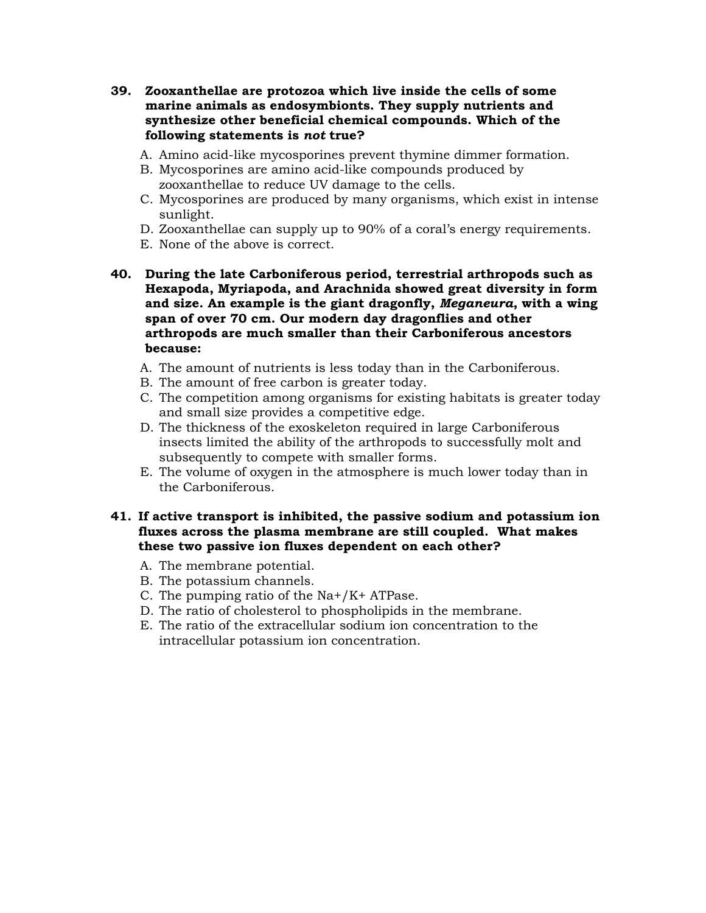- **39. Zooxanthellae are protozoa which live inside the cells of some marine animals as endosymbionts. They supply nutrients and synthesize other beneficial chemical compounds. Which of the following statements is** *not* **true?** 
	- A. Amino acid-like mycosporines prevent thymine dimmer formation.
	- B. Mycosporines are amino acid-like compounds produced by zooxanthellae to reduce UV damage to the cells.
	- C. Mycosporines are produced by many organisms, which exist in intense sunlight.
	- D. Zooxanthellae can supply up to 90% of a coral's energy requirements.
	- E. None of the above is correct.
- **40. During the late Carboniferous period, terrestrial arthropods such as Hexapoda, Myriapoda, and Arachnida showed great diversity in form and size. An example is the giant dragonfly,** *Meganeura***, with a wing span of over 70 cm. Our modern day dragonflies and other arthropods are much smaller than their Carboniferous ancestors because:** 
	- A. The amount of nutrients is less today than in the Carboniferous.
	- B. The amount of free carbon is greater today.
	- C. The competition among organisms for existing habitats is greater today and small size provides a competitive edge.
	- D. The thickness of the exoskeleton required in large Carboniferous insects limited the ability of the arthropods to successfully molt and subsequently to compete with smaller forms.
	- E. The volume of oxygen in the atmosphere is much lower today than in the Carboniferous.

#### **41. If active transport is inhibited, the passive sodium and potassium ion fluxes across the plasma membrane are still coupled. What makes these two passive ion fluxes dependent on each other?**

- A. The membrane potential.
- B. The potassium channels.
- C. The pumping ratio of the Na+/K+ ATPase.
- D. The ratio of cholesterol to phospholipids in the membrane.
- E. The ratio of the extracellular sodium ion concentration to the intracellular potassium ion concentration.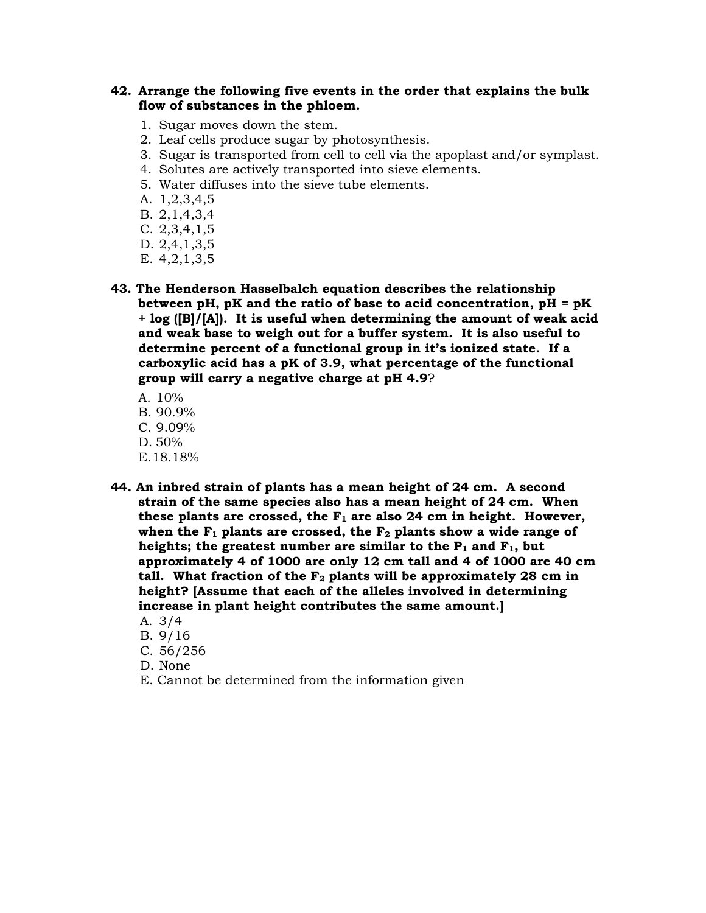#### **42. Arrange the following five events in the order that explains the bulk flow of substances in the phloem.**

- 1. Sugar moves down the stem.
- 2. Leaf cells produce sugar by photosynthesis.
- 3. Sugar is transported from cell to cell via the apoplast and/or symplast.
- 4. Solutes are actively transported into sieve elements.
- 5. Water diffuses into the sieve tube elements.
- A. 1,2,3,4,5
- B. 2,1,4,3,4
- C. 2,3,4,1,5
- D. 2,4,1,3,5
- E. 4,2,1,3,5
- **43. The Henderson Hasselbalch equation describes the relationship between pH, pK and the ratio of base to acid concentration, pH = pK + log ([B]/[A]). It is useful when determining the amount of weak acid and weak base to weigh out for a buffer system. It is also useful to determine percent of a functional group in it's ionized state. If a carboxylic acid has a pK of 3.9, what percentage of the functional group will carry a negative charge at pH 4.9**?
	- A. 10% B. 90.9% C. 9.09% D. 50% E.18.18%
- **44. An inbred strain of plants has a mean height of 24 cm. A second strain of the same species also has a mean height of 24 cm. When**  these plants are crossed, the  $F_1$  are also 24 cm in height. However, when the  $F_1$  plants are crossed, the  $F_2$  plants show a wide range of heights; the greatest number are similar to the  $P_1$  and  $F_1$ , but **approximately 4 of 1000 are only 12 cm tall and 4 of 1000 are 40 cm**  tall. What fraction of the F<sub>2</sub> plants will be approximately 28 cm in **height? [Assume that each of the alleles involved in determining increase in plant height contributes the same amount.]** 
	- A. 3/4
	- B. 9/16
	- C. 56/256
	- D. None
	- E. Cannot be determined from the information given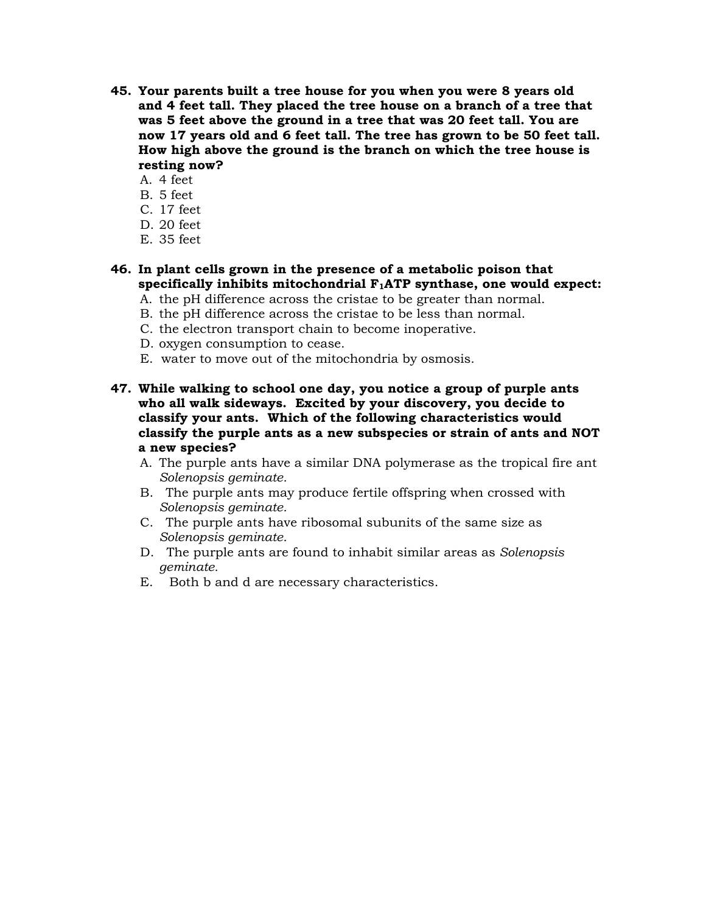- **45. Your parents built a tree house for you when you were 8 years old and 4 feet tall. They placed the tree house on a branch of a tree that was 5 feet above the ground in a tree that was 20 feet tall. You are now 17 years old and 6 feet tall. The tree has grown to be 50 feet tall. How high above the ground is the branch on which the tree house is resting now?**
	- A. 4 feet
	- B. 5 feet
	- C. 17 feet
	- D. 20 feet
	- E. 35 feet
- **46. In plant cells grown in the presence of a metabolic poison that specifically inhibits mitochondrial F1ATP synthase, one would expect:** 
	- A. the pH difference across the cristae to be greater than normal. B. the pH difference across the cristae to be less than normal.
	- C. the electron transport chain to become inoperative.
	- D. oxygen consumption to cease.
	- E. water to move out of the mitochondria by osmosis.
- **47. While walking to school one day, you notice a group of purple ants who all walk sideways. Excited by your discovery, you decide to classify your ants. Which of the following characteristics would classify the purple ants as a new subspecies or strain of ants and NOT a new species?** 
	- A. The purple ants have a similar DNA polymerase as the tropical fire ant *Solenopsis geminate.*
	- B. The purple ants may produce fertile offspring when crossed with *Solenopsis geminate.*
	- C. The purple ants have ribosomal subunits of the same size as *Solenopsis geminate.*
	- D. The purple ants are found to inhabit similar areas as *Solenopsis geminate.*
	- E. Both b and d are necessary characteristics.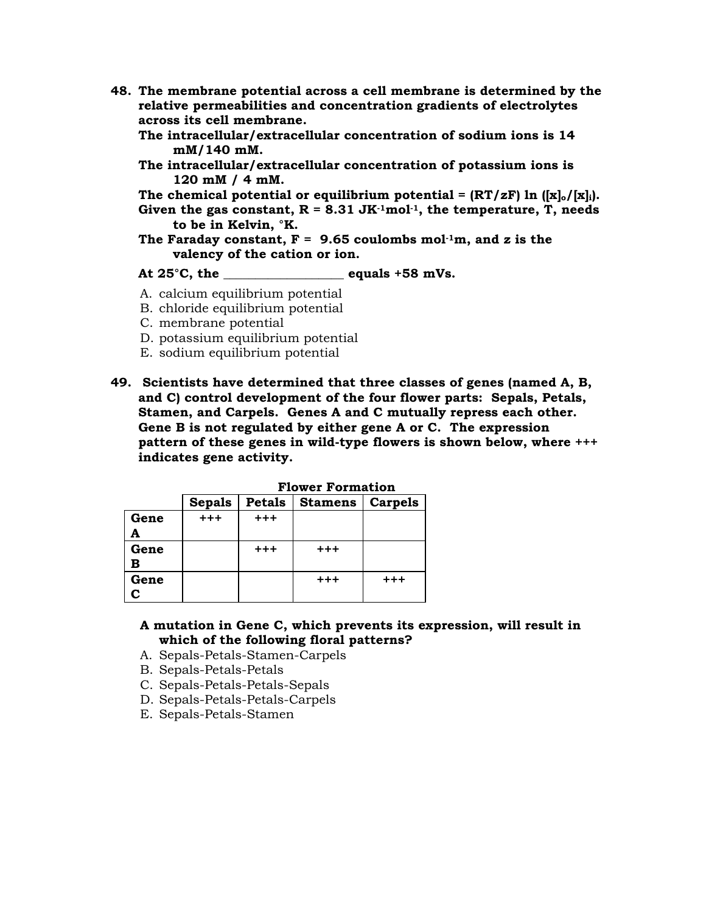- **48. The membrane potential across a cell membrane is determined by the relative permeabilities and concentration gradients of electrolytes across its cell membrane.** 
	- **The intracellular/extracellular concentration of sodium ions is 14 mM/140 mM.**
	- **The intracellular/extracellular concentration of potassium ions is 120 mM / 4 mM.**
	- The chemical potential or equilibrium potential =  $(RT/zF)$  ln  $([x]_0/[x]_i)$ .
	- Given the gas constant,  $R = 8.31$  JK $\cdot$ <sup>1</sup>mol<sup>-1</sup>, the temperature, T, needs **to be in Kelvin, °K.**
	- The Faraday constant,  $F = 9.65$  coulombs mol<sup>-1</sup>m, and z is the **valency of the cation or ion.**

#### **At 25°C, the \_\_\_\_\_\_\_\_\_\_\_\_\_\_\_\_\_\_\_ equals +58 mVs.**

- A. calcium equilibrium potential
- B. chloride equilibrium potential
- C. membrane potential
- D. potassium equilibrium potential
- E. sodium equilibrium potential
- **49. Scientists have determined that three classes of genes (named A, B, and C) control development of the four flower parts: Sepals, Petals, Stamen, and Carpels. Genes A and C mutually repress each other. Gene B is not regulated by either gene A or C. The expression pattern of these genes in wild-type flowers is shown below, where +++ indicates gene activity.**

|      | riower rormation  |               |                |                |  |  |  |
|------|-------------------|---------------|----------------|----------------|--|--|--|
|      | <b>Sepals</b>     | <b>Petals</b> | <b>Stamens</b> | <b>Carpels</b> |  |  |  |
| Gene | $^{\mathrm{+++}}$ | $+ + +$       |                |                |  |  |  |
|      |                   |               |                |                |  |  |  |
| Gene |                   | $+ + +$       | $+ + +$        |                |  |  |  |
| в    |                   |               |                |                |  |  |  |
| Gene |                   |               | $+ + +$        | $^{+++}$       |  |  |  |
|      |                   |               |                |                |  |  |  |

 **Flower Formation** 

| A mutation in Gene C, which prevents its expression, will result in |  |  |
|---------------------------------------------------------------------|--|--|
| which of the following floral patterns?                             |  |  |

- A. Sepals-Petals-Stamen-Carpels
- B. Sepals-Petals-Petals
- C. Sepals-Petals-Petals-Sepals
- D. Sepals-Petals-Petals-Carpels
- E. Sepals-Petals-Stamen